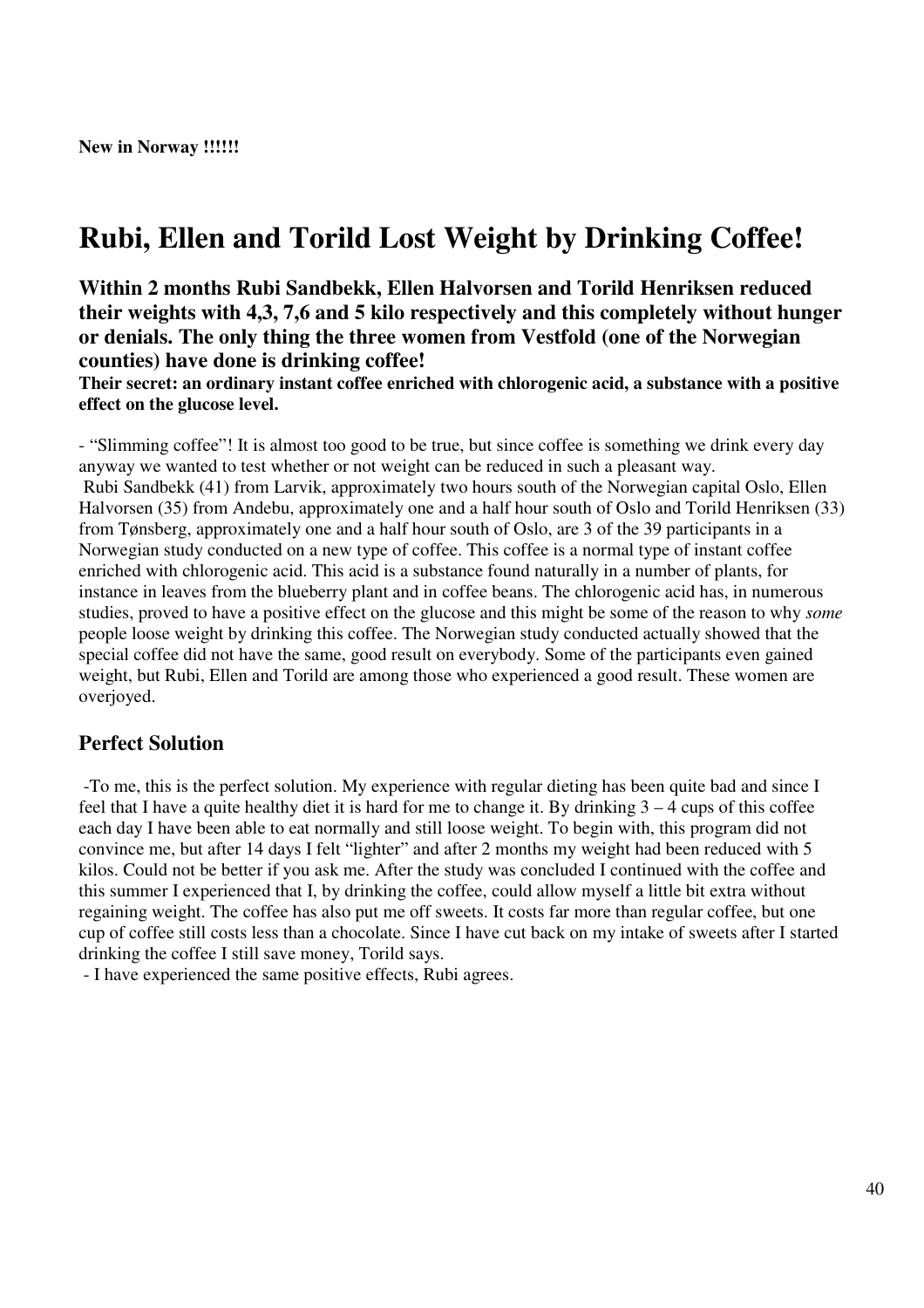# **Rubi, Ellen and Torild Lost Weight by Drinking Coffee!**

**Within 2 months Rubi Sandbekk, Ellen Halvorsen and Torild Henriksen reduced their weights with 4,3, 7,6 and 5 kilo respectively and this completely without hunger or denials. The only thing the three women from Vestfold (one of the Norwegian counties) have done is drinking coffee!**

**Their secret: an ordinary instant coffee enriched with chlorogenic acid, a substance with a positive effect on the glucose level.**

- "Slimming coffee"! It is almost too good to be true, but since coffee is something we drink every day anyway we wanted to test whether or not weight can be reduced in such a pleasant way. Rubi Sandbekk (41) from Larvik, approximately two hours south of the Norwegian capital Oslo, Ellen Halvorsen (35) from Andebu, approximately one and a half hour south of Oslo and Torild Henriksen (33) from Tønsberg, approximately one and a half hour south of Oslo, are 3 of the 39 participants in a Norwegian study conducted on a new type of coffee. This coffee is a normal type of instant coffee enriched with chlorogenic acid. This acid is a substance found naturally in a number of plants, for instance in leaves from the blueberry plant and in coffee beans. The chlorogenic acid has, in numerous studies, proved to have a positive effect on the glucose and this might be some of the reason to why *some* people loose weight by drinking this coffee. The Norwegian study conducted actually showed that the special coffee did not have the same, good result on everybody. Some of the participants even gained weight, but Rubi, Ellen and Torild are among those who experienced a good result. These women are overjoyed.

## **Perfect Solution**

-To me, this is the perfect solution. My experience with regular dieting has been quite bad and since I feel that I have a quite healthy diet it is hard for me to change it. By drinking 3 – 4 cups of this coffee each day I have been able to eat normally and still loose weight. To begin with, this program did not convince me, but after 14 days I felt "lighter" and after 2 months my weight had been reduced with 5 kilos. Could not be better if you ask me. After the study was concluded I continued with the coffee and this summer I experienced that I, by drinking the coffee, could allow myself a little bit extra without regaining weight. The coffee has also put me off sweets. It costs far more than regular coffee, but one cup of coffee still costs less than a chocolate. Since I have cut back on my intake of sweets after I started drinking the coffee I still save money, Torild says.

- I have experienced the same positive effects, Rubi agrees.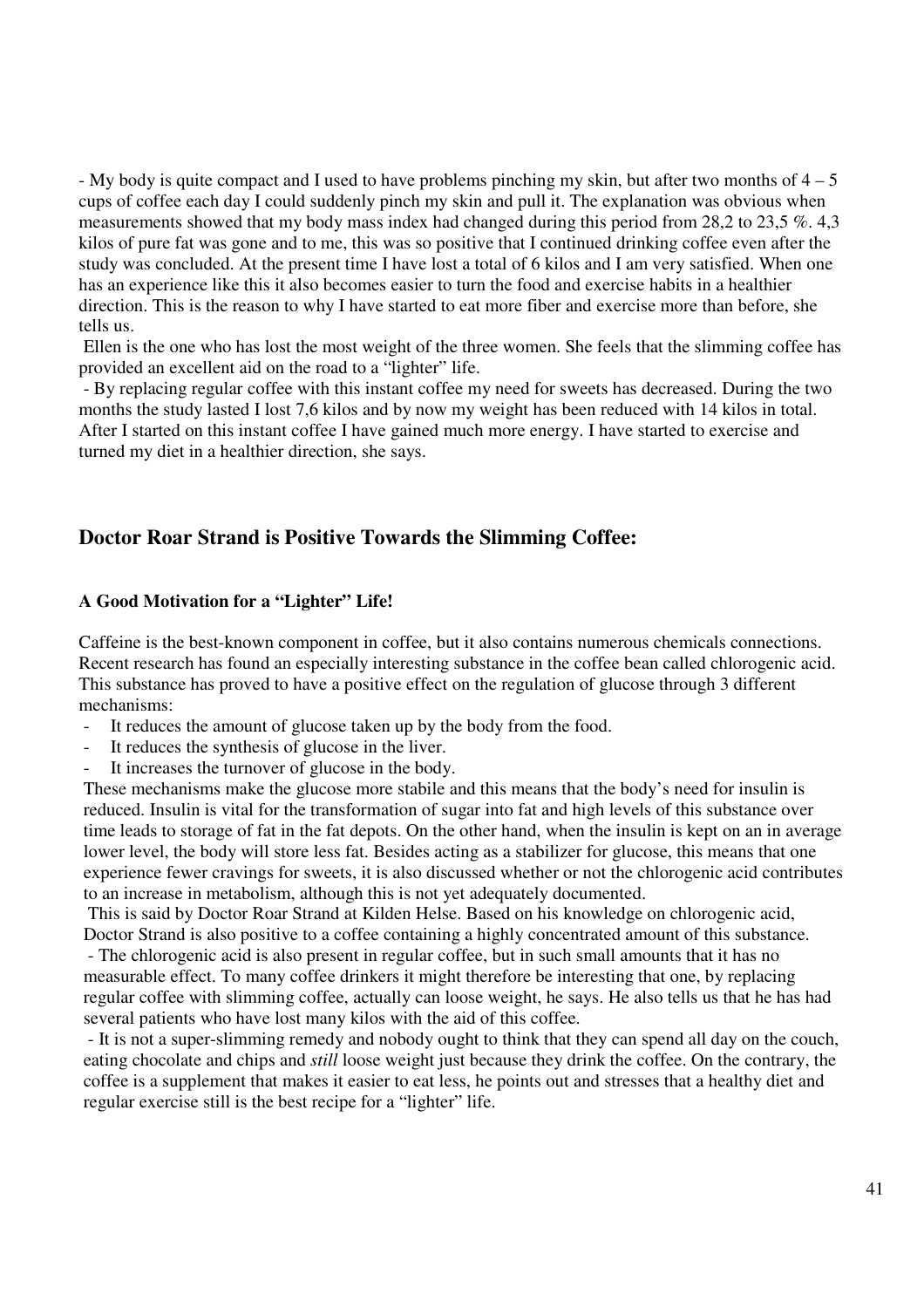- My body is quite compact and I used to have problems pinching my skin, but after two months of  $4 - 5$ cups of coffee each day I could suddenly pinch my skin and pull it. The explanation was obvious when measurements showed that my body mass index had changed during this period from 28,2 to 23,5 %. 4,3 kilos of pure fat was gone and to me, this was so positive that I continued drinking coffee even after the study was concluded. At the present time I have lost a total of 6 kilos and I am very satisfied. When one has an experience like this it also becomes easier to turn the food and exercise habits in a healthier direction. This is the reason to why I have started to eat more fiber and exercise more than before, she tells us.

Ellen is the one who has lost the most weight of the three women. She feels that the slimming coffee has provided an excellent aid on the road to a "lighter" life.

- By replacing regular coffee with this instant coffee my need for sweets has decreased. During the two months the study lasted I lost 7,6 kilos and by now my weight has been reduced with 14 kilos in total. After I started on this instant coffee I have gained much more energy. I have started to exercise and turned my diet in a healthier direction, she says.

## **Doctor Roar Strand is Positive Towards the Slimming Coffee:**

#### **A Good Motivation for a "Lighter" Life!**

Caffeine is the best-known component in coffee, but it also contains numerous chemicals connections. Recent research has found an especially interesting substance in the coffee bean called chlorogenic acid. This substance has proved to have a positive effect on the regulation of glucose through 3 different mechanisms:

- It reduces the amount of glucose taken up by the body from the food.
- It reduces the synthesis of glucose in the liver.
- It increases the turnover of glucose in the body.

These mechanisms make the glucose more stabile and this means that the body's need for insulin is reduced. Insulin is vital for the transformation of sugar into fat and high levels of this substance over time leads to storage of fat in the fat depots. On the other hand, when the insulin is kept on an in average lower level, the body will store less fat. Besides acting as a stabilizer for glucose, this means that one experience fewer cravings for sweets, it is also discussed whether or not the chlorogenic acid contributes to an increase in metabolism, although this is not yet adequately documented.

This is said by Doctor Roar Strand at Kilden Helse. Based on his knowledge on chlorogenic acid, Doctor Strand is also positive to a coffee containing a highly concentrated amount of this substance.

- The chlorogenic acid is also present in regular coffee, but in such small amounts that it has no measurable effect. To many coffee drinkers it might therefore be interesting that one, by replacing regular coffee with slimming coffee, actually can loose weight, he says. He also tells us that he has had several patients who have lost many kilos with the aid of this coffee.

- It is not a super-slimming remedy and nobody ought to think that they can spend all day on the couch, eating chocolate and chips and *still* loose weight just because they drink the coffee. On the contrary, the coffee is a supplement that makes it easier to eat less, he points out and stresses that a healthy diet and regular exercise still is the best recipe for a "lighter" life.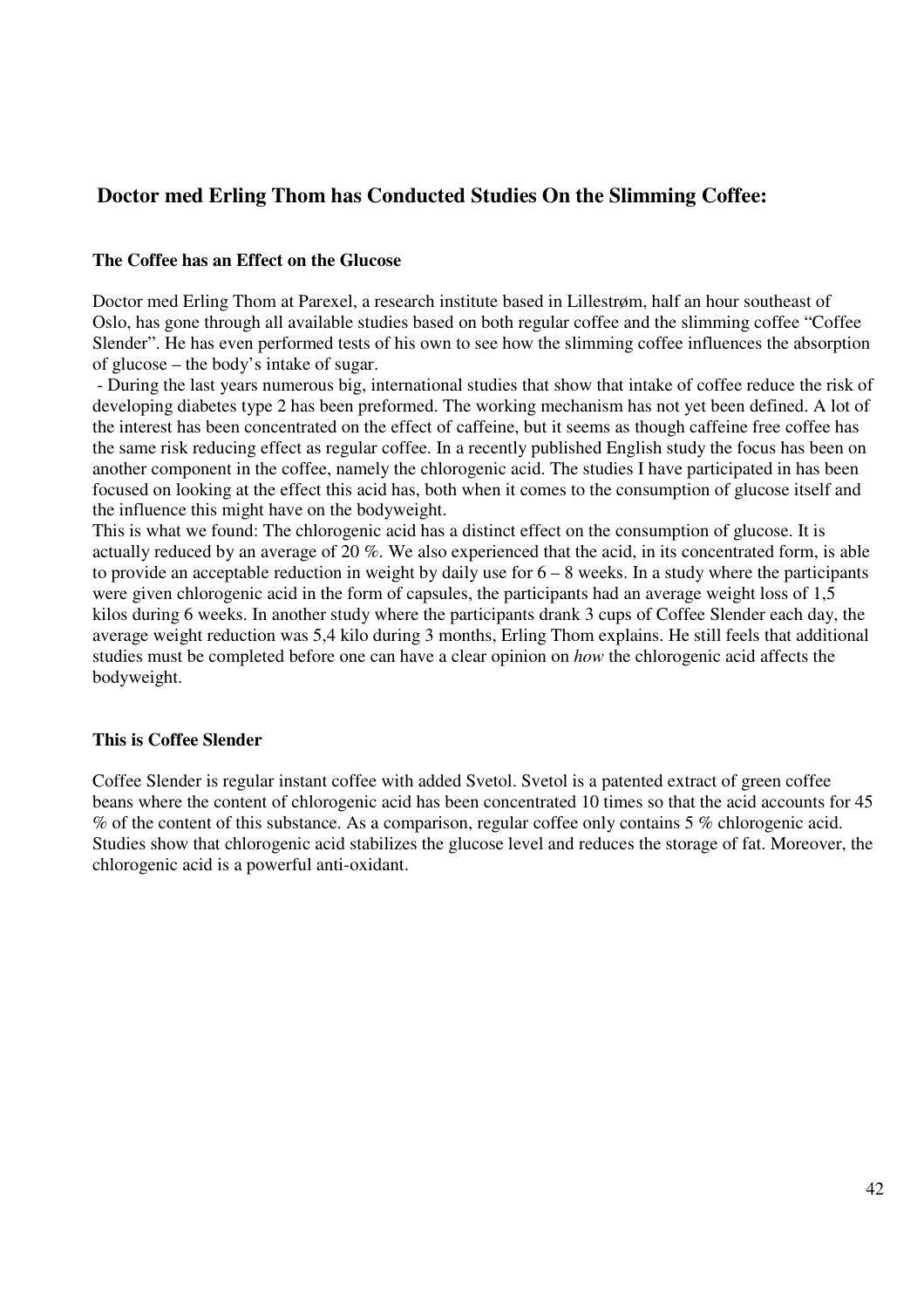## **Doctor med Erling Thom has Conducted Studies On the Slimming Coffee:**

## **The Coffee has an Effect on the Glucose**

Doctor med Erling Thom at Parexel, a research institute based in Lillestrøm, half an hour southeast of Oslo, has gone through all available studies based on both regular coffee and the slimming coffee "Coffee Slender". He has even performed tests of his own to see how the slimming coffee influences the absorption of glucose – the body's intake of sugar.

- During the last years numerous big, international studies that show that intake of coffee reduce the risk of developing diabetes type 2 has been preformed. The working mechanism has not yet been defined. A lot of the interest has been concentrated on the effect of caffeine, but it seems as though caffeine free coffee has the same risk reducing effect as regular coffee. In a recently published English study the focus has been on another component in the coffee, namely the chlorogenic acid. The studies I have participated in has been focused on looking at the effect this acid has, both when it comes to the consumption of glucose itself and the influence this might have on the bodyweight.

This is what we found: The chlorogenic acid has a distinct effect on the consumption of glucose. It is actually reduced by an average of 20 %. We also experienced that the acid, in its concentrated form, is able to provide an acceptable reduction in weight by daily use for  $6 - 8$  weeks. In a study where the participants were given chlorogenic acid in the form of capsules, the participants had an average weight loss of 1,5 kilos during 6 weeks. In another study where the participants drank 3 cups of Coffee Slender each day, the average weight reduction was 5,4 kilo during 3 months, Erling Thom explains. He still feels that additional studies must be completed before one can have a clear opinion on *how* the chlorogenic acid affects the bodyweight.

## **This is Coffee Slender**

Coffee Slender is regular instant coffee with added Svetol. Svetol is a patented extract of green coffee beans where the content of chlorogenic acid has been concentrated 10 times so that the acid accounts for 45 % of the content of this substance. As a comparison, regular coffee only contains 5 % chlorogenic acid. Studies show that chlorogenic acid stabilizes the glucose level and reduces the storage of fat. Moreover, the chlorogenic acid is a powerful anti-oxidant.